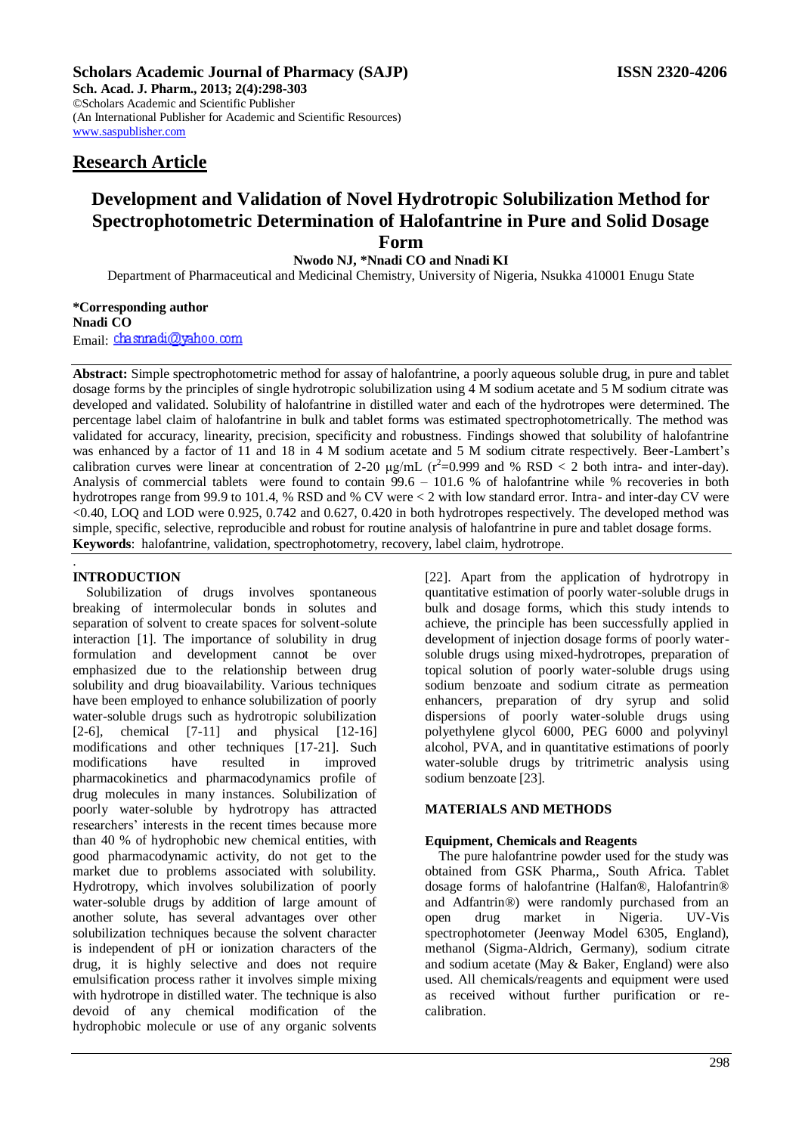**Sch. Acad. J. Pharm., 2013; 2(4):298-303** ©Scholars Academic and Scientific Publisher (An International Publisher for Academic and Scientific Resources) [www.saspublisher.com](http://www.saspublisher.com/) 

# **Research Article**

# **Development and Validation of Novel Hydrotropic Solubilization Method for Spectrophotometric Determination of Halofantrine in Pure and Solid Dosage Form**

**Nwodo NJ, \*Nnadi CO and Nnadi KI**

Department of Pharmaceutical and Medicinal Chemistry, University of Nigeria, Nsukka 410001 Enugu State

#### **\*Corresponding author Nnadi CO** Email: chasnradi@yahoo.com

**Abstract:** Simple spectrophotometric method for assay of halofantrine, a poorly aqueous soluble drug, in pure and tablet dosage forms by the principles of single hydrotropic solubilization using 4 M sodium acetate and 5 M sodium citrate was developed and validated. Solubility of halofantrine in distilled water and each of the hydrotropes were determined. The percentage label claim of halofantrine in bulk and tablet forms was estimated spectrophotometrically. The method was validated for accuracy, linearity, precision, specificity and robustness. Findings showed that solubility of halofantrine was enhanced by a factor of 11 and 18 in 4 M sodium acetate and 5 M sodium citrate respectively. Beer-Lambert's calibration curves were linear at concentration of 2-20  $\mu$ g/mL (r<sup>2</sup>=0.999 and % RSD < 2 both intra- and inter-day). Analysis of commercial tablets were found to contain  $99.6 - 101.6$  % of halofantrine while % recoveries in both hydrotropes range from 99.9 to 101.4, % RSD and % CV were < 2 with low standard error. Intra- and inter-day CV were <0.40, LOQ and LOD were 0.925, 0.742 and 0.627, 0.420 in both hydrotropes respectively. The developed method was simple, specific, selective, reproducible and robust for routine analysis of halofantrine in pure and tablet dosage forms. **Keywords**: halofantrine, validation, spectrophotometry, recovery, label claim, hydrotrope.

#### . **INTRODUCTION**

Solubilization of drugs involves spontaneous breaking of intermolecular bonds in solutes and separation of solvent to create spaces for solvent-solute interaction [1]. The importance of solubility in drug formulation and development cannot be over emphasized due to the relationship between drug solubility and drug bioavailability. Various techniques have been employed to enhance solubilization of poorly water-soluble drugs such as hydrotropic solubilization [2-6], chemical [7-11] and physical [12-16] modifications and other techniques [17-21]. Such modifications have resulted in improved pharmacokinetics and pharmacodynamics profile of drug molecules in many instances. Solubilization of poorly water-soluble by hydrotropy has attracted researchers' interests in the recent times because more than 40 % of hydrophobic new chemical entities, with good pharmacodynamic activity, do not get to the market due to problems associated with solubility. Hydrotropy, which involves solubilization of poorly water-soluble drugs by addition of large amount of another solute, has several advantages over other solubilization techniques because the solvent character is independent of pH or ionization characters of the drug, it is highly selective and does not require emulsification process rather it involves simple mixing with hydrotrope in distilled water. The technique is also devoid of any chemical modification of the hydrophobic molecule or use of any organic solvents

[22]. Apart from the application of hydrotropy in quantitative estimation of poorly water-soluble drugs in bulk and dosage forms, which this study intends to achieve, the principle has been successfully applied in development of injection dosage forms of poorly watersoluble drugs using mixed-hydrotropes, preparation of topical solution of poorly water-soluble drugs using sodium benzoate and sodium citrate as permeation enhancers, preparation of dry syrup and solid dispersions of poorly water-soluble drugs using polyethylene glycol 6000, PEG 6000 and polyvinyl alcohol, PVA, and in quantitative estimations of poorly water-soluble drugs by tritrimetric analysis using sodium benzoate [23].

# **MATERIALS AND METHODS**

# **Equipment, Chemicals and Reagents**

The pure halofantrine powder used for the study was obtained from GSK Pharma,, South Africa. Tablet dosage forms of halofantrine (Halfan®, Halofantrin® and Adfantrin®) were randomly purchased from an open drug market in Nigeria. UV-Vis spectrophotometer (Jeenway Model 6305, England), methanol (Sigma-Aldrich, Germany), sodium citrate and sodium acetate (May & Baker, England) were also used. All chemicals/reagents and equipment were used as received without further purification or recalibration.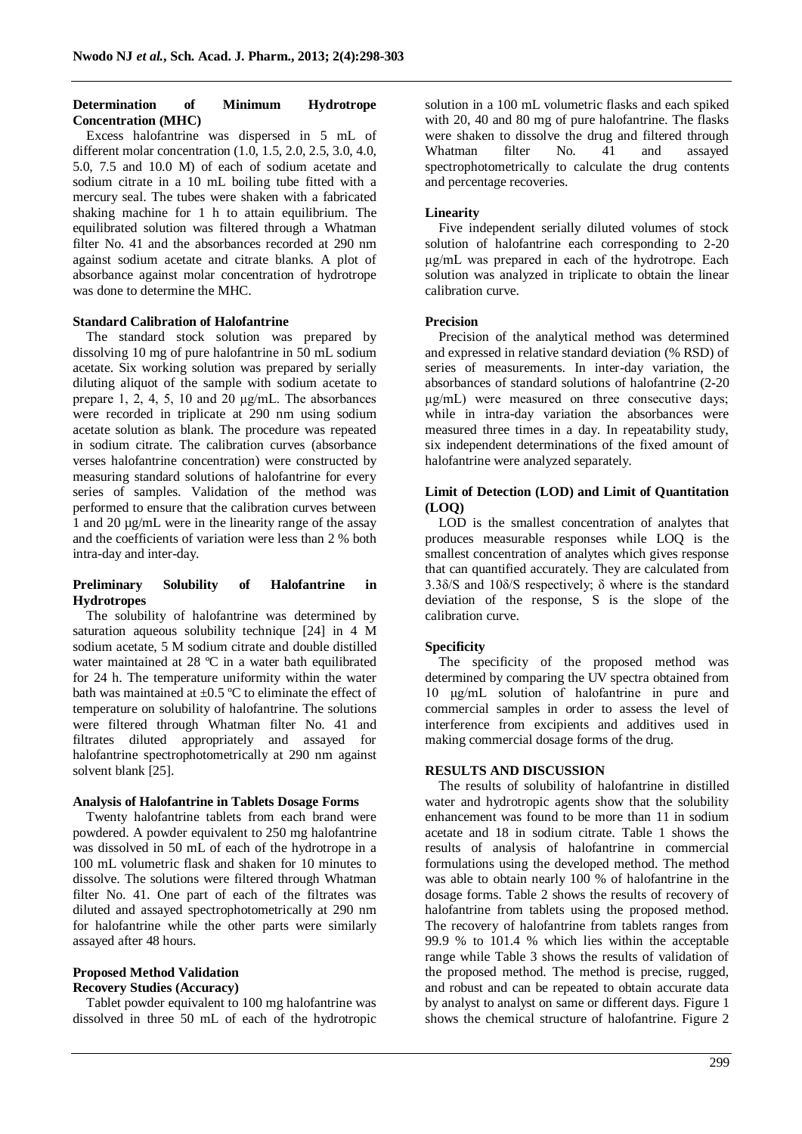#### **Determination of Minimum Hydrotrope Concentration (MHC)**

Excess halofantrine was dispersed in 5 mL of different molar concentration (1.0, 1.5, 2.0, 2.5, 3.0, 4.0, 5.0, 7.5 and 10.0 M) of each of sodium acetate and sodium citrate in a 10 mL boiling tube fitted with a mercury seal. The tubes were shaken with a fabricated shaking machine for 1 h to attain equilibrium. The equilibrated solution was filtered through a Whatman filter No. 41 and the absorbances recorded at 290 nm against sodium acetate and citrate blanks. A plot of absorbance against molar concentration of hydrotrope was done to determine the MHC.

### **Standard Calibration of Halofantrine**

The standard stock solution was prepared by dissolving 10 mg of pure halofantrine in 50 mL sodium acetate. Six working solution was prepared by serially diluting aliquot of the sample with sodium acetate to prepare 1, 2, 4, 5, 10 and 20  $\mu$ g/mL. The absorbances were recorded in triplicate at 290 nm using sodium acetate solution as blank. The procedure was repeated in sodium citrate. The calibration curves (absorbance verses halofantrine concentration) were constructed by measuring standard solutions of halofantrine for every series of samples. Validation of the method was performed to ensure that the calibration curves between 1 and 20 µg/mL were in the linearity range of the assay and the coefficients of variation were less than 2 % both intra-day and inter-day.

#### **Preliminary Solubility of Halofantrine in Hydrotropes**

The solubility of halofantrine was determined by saturation aqueous solubility technique [24] in 4 M sodium acetate, 5 M sodium citrate and double distilled water maintained at 28 °C in a water bath equilibrated for 24 h. The temperature uniformity within the water bath was maintained at  $\pm 0.5$  °C to eliminate the effect of temperature on solubility of halofantrine. The solutions were filtered through Whatman filter No. 41 and filtrates diluted appropriately and assayed for halofantrine spectrophotometrically at 290 nm against solvent blank [25].

#### **Analysis of Halofantrine in Tablets Dosage Forms**

Twenty halofantrine tablets from each brand were powdered. A powder equivalent to 250 mg halofantrine was dissolved in 50 mL of each of the hydrotrope in a 100 mL volumetric flask and shaken for 10 minutes to dissolve. The solutions were filtered through Whatman filter No. 41. One part of each of the filtrates was diluted and assayed spectrophotometrically at 290 nm for halofantrine while the other parts were similarly assayed after 48 hours.

# **Proposed Method Validation**

# **Recovery Studies (Accuracy)**

Tablet powder equivalent to 100 mg halofantrine was dissolved in three 50 mL of each of the hydrotropic solution in a 100 mL volumetric flasks and each spiked with 20, 40 and 80 mg of pure halofantrine. The flasks were shaken to dissolve the drug and filtered through Whatman filter No. 41 and assayed spectrophotometrically to calculate the drug contents and percentage recoveries.

### **Linearity**

Five independent serially diluted volumes of stock solution of halofantrine each corresponding to 2-20 μg/mL was prepared in each of the hydrotrope. Each solution was analyzed in triplicate to obtain the linear calibration curve.

#### **Precision**

Precision of the analytical method was determined and expressed in relative standard deviation (% RSD) of series of measurements. In inter-day variation, the absorbances of standard solutions of halofantrine (2-20 μg/mL) were measured on three consecutive days; while in intra-day variation the absorbances were measured three times in a day. In repeatability study, six independent determinations of the fixed amount of halofantrine were analyzed separately.

### **Limit of Detection (LOD) and Limit of Quantitation (LOQ)**

LOD is the smallest concentration of analytes that produces measurable responses while LOQ is the smallest concentration of analytes which gives response that can quantified accurately. They are calculated from 3.3δ/S and 10δ/S respectively; δ where is the standard deviation of the response, S is the slope of the calibration curve.

# **Specificity**

The specificity of the proposed method was determined by comparing the UV spectra obtained from 10 μg/mL solution of halofantrine in pure and commercial samples in order to assess the level of interference from excipients and additives used in making commercial dosage forms of the drug.

#### **RESULTS AND DISCUSSION**

The results of solubility of halofantrine in distilled water and hydrotropic agents show that the solubility enhancement was found to be more than 11 in sodium acetate and 18 in sodium citrate. Table 1 shows the results of analysis of halofantrine in commercial formulations using the developed method. The method was able to obtain nearly 100 % of halofantrine in the dosage forms. Table 2 shows the results of recovery of halofantrine from tablets using the proposed method. The recovery of halofantrine from tablets ranges from 99.9 % to 101.4 % which lies within the acceptable range while Table 3 shows the results of validation of the proposed method. The method is precise, rugged, and robust and can be repeated to obtain accurate data by analyst to analyst on same or different days. Figure 1 shows the chemical structure of halofantrine. Figure 2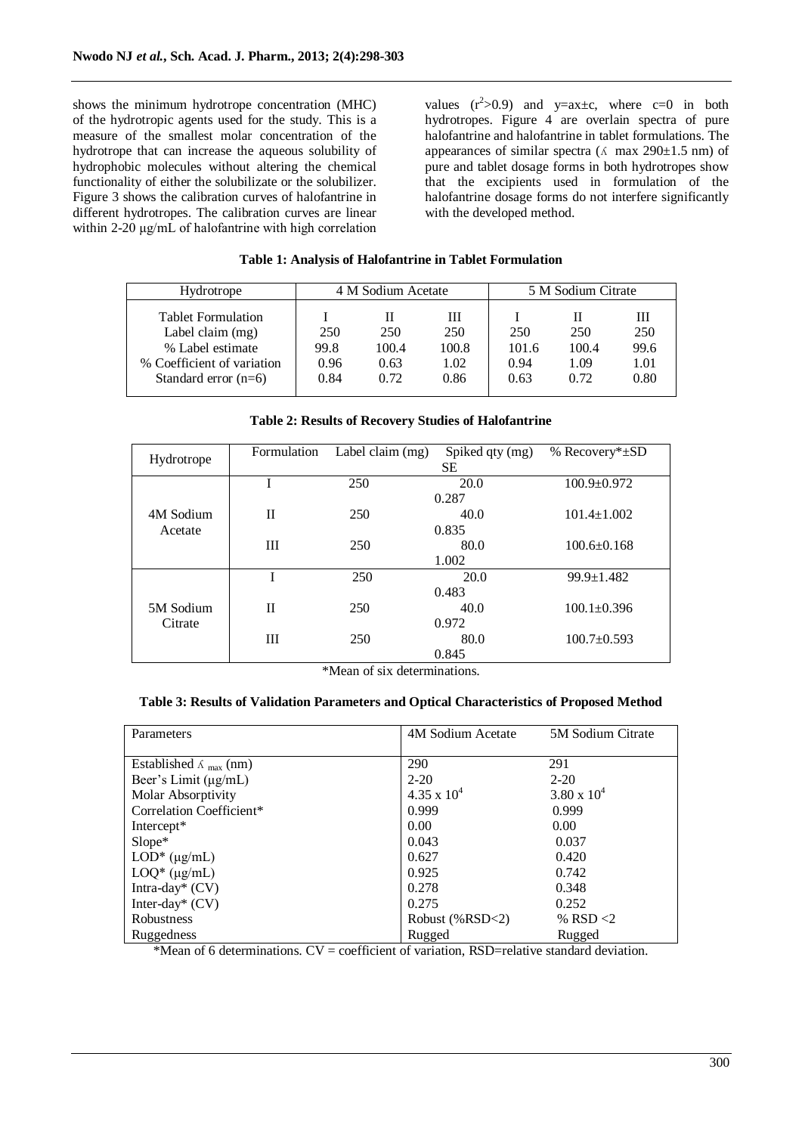shows the minimum hydrotrope concentration (MHC) of the hydrotropic agents used for the study. This is a measure of the smallest molar concentration of the hydrotrope that can increase the aqueous solubility of hydrophobic molecules without altering the chemical functionality of either the solubilizate or the solubilizer. Figure 3 shows the calibration curves of halofantrine in different hydrotropes. The calibration curves are linear within 2-20 μg/mL of halofantrine with high correlation

values  $(r^2>0.9)$  and  $y=ax\pm c$ , where  $c=0$  in both hydrotropes. Figure 4 are overlain spectra of pure halofantrine and halofantrine in tablet formulations. The appearances of similar spectra ( $\Lambda$  max 290 $\pm$ 1.5 nm) of pure and tablet dosage forms in both hydrotropes show that the excipients used in formulation of the halofantrine dosage forms do not interfere significantly with the developed method.

#### **Table 1: Analysis of Halofantrine in Tablet Formulation**

| Hydrotrope                                           | 4 M Sodium Acetate |              |              | 5 M Sodium Citrate |              |              |
|------------------------------------------------------|--------------------|--------------|--------------|--------------------|--------------|--------------|
| <b>Tablet Formulation</b><br>Label claim $(mg)$      | 250                | 250          | Ш<br>250     | 250                | 250          | Ш<br>250     |
| % Label estimate                                     | 99.8               | 100.4        | 100.8        | 101.6              | 100.4        | 99.6         |
| % Coefficient of variation<br>Standard error $(n=6)$ | 0.96<br>0.84       | 0.63<br>0.72 | 1.02<br>0.86 | 0.94<br>0.63       | 1.09<br>0.72 | 1.01<br>0.80 |

# **Table 2: Results of Recovery Studies of Halofantrine**

| Hydrotrope | Formulation | Label claim (mg) | Spiked qty (mg) | % Recovery* $\pm SD$ |  |  |
|------------|-------------|------------------|-----------------|----------------------|--|--|
|            | SЕ          |                  |                 |                      |  |  |
|            |             | 250              | 20.0            | $100.9 \pm 0.972$    |  |  |
|            | 0.287       |                  |                 |                      |  |  |
| 4M Sodium  | H           | 250              | 40.0            | $101.4 \pm 1.002$    |  |  |
| Acetate    | 0.835       |                  |                 |                      |  |  |
|            | Ш           | 250              | 80.0            | $100.6 \pm 0.168$    |  |  |
|            | 1.002       |                  |                 |                      |  |  |
|            |             | 250              | 20.0            | $99.9 \pm 1.482$     |  |  |
|            | 0.483       |                  |                 |                      |  |  |
| 5M Sodium  | $_{\rm II}$ | 250              | 40.0            | $100.1 \pm 0.396$    |  |  |
| Citrate    | 0.972       |                  |                 |                      |  |  |
|            | Ш           | 250              | 80.0            | $100.7 \pm 0.593$    |  |  |
|            |             |                  | 0.845           |                      |  |  |

\*Mean of six determinations.

# **Table 3: Results of Validation Parameters and Optical Characteristics of Proposed Method**

| Parameters                                | 4M Sodium Acetate    | 5M Sodium Citrate    |
|-------------------------------------------|----------------------|----------------------|
|                                           |                      |                      |
| Established $\Lambda$ <sub>max</sub> (nm) | 290                  | 291                  |
| Beer's Limit $(\mu g/mL)$                 | $2 - 20$             | $2 - 20$             |
| Molar Absorptivity                        | $4.35 \times 10^{4}$ | $3.80 \times 10^{4}$ |
| Correlation Coefficient*                  | 0.999                | 0.999                |
| Intercept*                                | 0.00                 | 0.00                 |
| Slope*                                    | 0.043                | 0.037                |
| $LOD^*(\mu g/mL)$                         | 0.627                | 0.420                |
| $LOQ^*$ ( $\mu$ g/mL)                     | 0.925                | 0.742                |
| Intra-day* $(CV)$                         | 0.278                | 0.348                |
| Inter-day* $(CV)$                         | 0.275                | 0.252                |
| Robustness                                | Robust $(\% RSD<2)$  | % RSD $<$ 2          |
| Ruggedness                                | Rugged               | Rugged               |

\*Mean of 6 determinations.  $CV = coefficient$  of variation, RSD=relative standard deviation.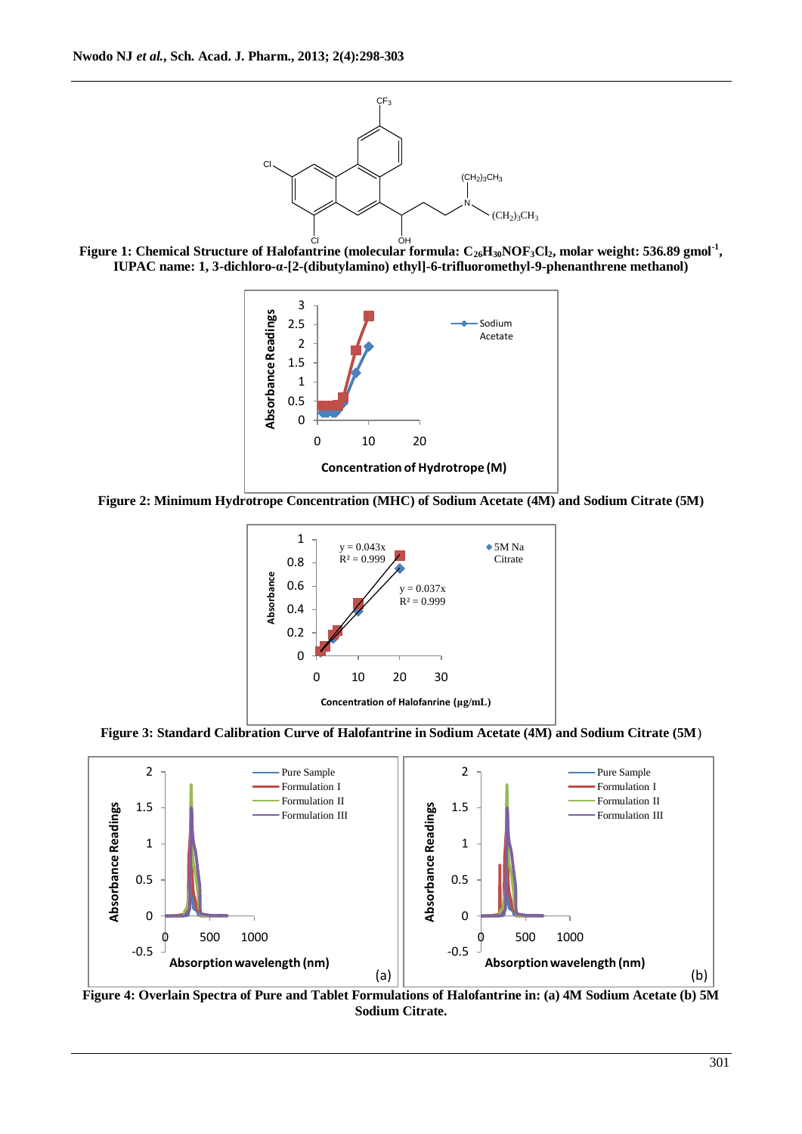

Cl OH **Figure 1: Chemical Structure of Halofantrine (molecular formula: C26H30NOF3Cl2, molar weight: 536.89 gmol-1 , IUPAC name: 1, 3-dichloro-α-[2-(dibutylamino) ethyl]-6-trifluoromethyl-9-phenanthrene methanol)**



**Figure 2: Minimum Hydrotrope Concentration (MHC) of Sodium Acetate (4M) and Sodium Citrate (5M)**



**Figure 3: Standard Calibration Curve of Halofantrine in Sodium Acetate (4M) and Sodium Citrate (5M**)



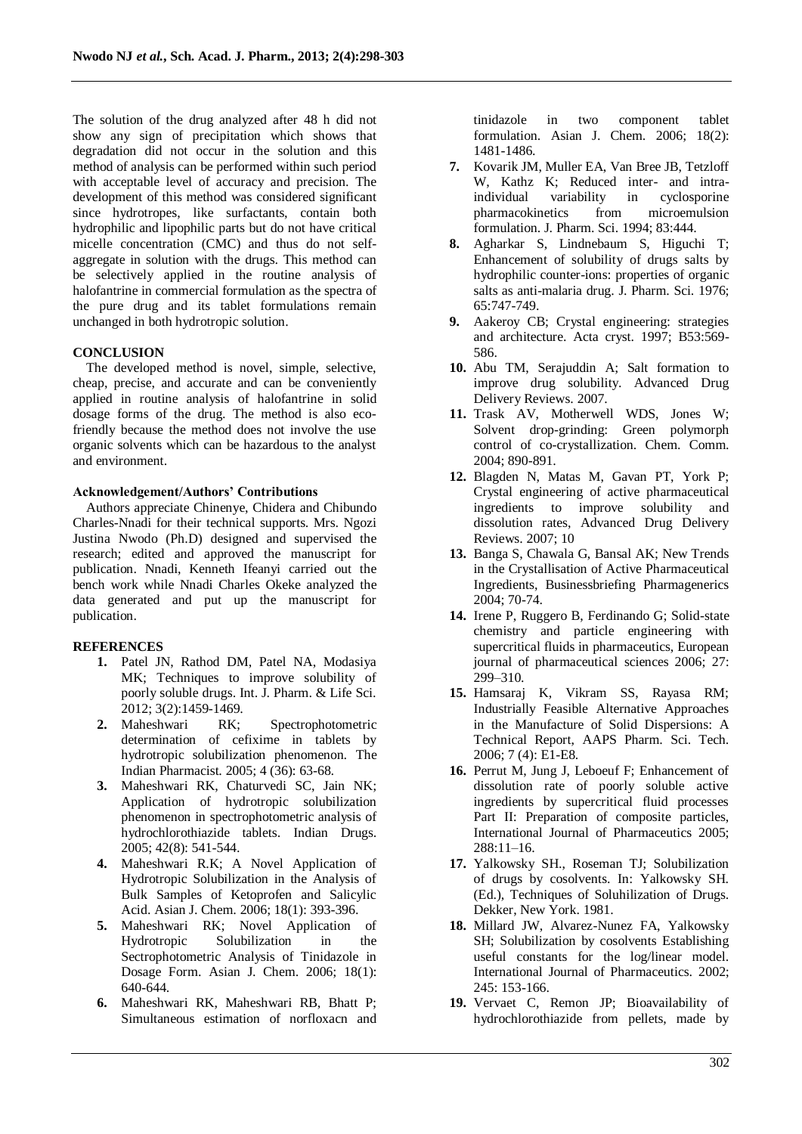The solution of the drug analyzed after 48 h did not show any sign of precipitation which shows that degradation did not occur in the solution and this method of analysis can be performed within such period with acceptable level of accuracy and precision. The development of this method was considered significant since hydrotropes, like surfactants, contain both hydrophilic and lipophilic parts but do not have critical micelle concentration (CMC) and thus do not selfaggregate in solution with the drugs. This method can be selectively applied in the routine analysis of halofantrine in commercial formulation as the spectra of the pure drug and its tablet formulations remain unchanged in both hydrotropic solution.

# **CONCLUSION**

The developed method is novel, simple, selective, cheap, precise, and accurate and can be conveniently applied in routine analysis of halofantrine in solid dosage forms of the drug. The method is also ecofriendly because the method does not involve the use organic solvents which can be hazardous to the analyst and environment.

# **Acknowledgement/Authors' Contributions**

Authors appreciate Chinenye, Chidera and Chibundo Charles-Nnadi for their technical supports. Mrs. Ngozi Justina Nwodo (Ph.D) designed and supervised the research; edited and approved the manuscript for publication. Nnadi, Kenneth Ifeanyi carried out the bench work while Nnadi Charles Okeke analyzed the data generated and put up the manuscript for publication.

# **REFERENCES**

- **1.** Patel JN, Rathod DM, Patel NA, Modasiya MK; Techniques to improve solubility of poorly soluble drugs. Int. J. Pharm. & Life Sci. 2012; 3(2):1459-1469.<br> **2.** Maheshwari RK;
- RK; Spectrophotometric determination of cefixime in tablets by hydrotropic solubilization phenomenon. The Indian Pharmacist. 2005; 4 (36): 63-68.
- **3.** Maheshwari RK, Chaturvedi SC, Jain NK; Application of hydrotropic solubilization phenomenon in spectrophotometric analysis of hydrochlorothiazide tablets. Indian Drugs. 2005; 42(8): 541-544.
- **4.** Maheshwari R.K; A Novel Application of Hydrotropic Solubilization in the Analysis of Bulk Samples of Ketoprofen and Salicylic Acid. Asian J. Chem. 2006; 18(1): 393-396.
- **5.** Maheshwari RK; Novel Application of Hydrotropic Solubilization in the Sectrophotometric Analysis of Tinidazole in Dosage Form. Asian J. Chem. 2006; 18(1): 640-644.
- **6.** Maheshwari RK, Maheshwari RB, Bhatt P; Simultaneous estimation of norfloxacn and

tinidazole in two component tablet formulation. Asian J. Chem. 2006; 18(2): 1481-1486.

- **7.** Kovarik JM, Muller EA, Van Bree JB, Tetzloff W, Kathz K; Reduced inter- and intraindividual variability in cyclosporine pharmacokinetics from microemulsion formulation. J. Pharm. Sci. 1994; 83:444.
- **8.** Agharkar S, Lindnebaum S, Higuchi T; Enhancement of solubility of drugs salts by hydrophilic counter-ions: properties of organic salts as anti-malaria drug. J. Pharm. Sci. 1976; 65:747-749.
- **9.** Aakeroy CB; Crystal engineering: strategies and architecture. Acta cryst. 1997; B53:569- 586.
- **10.** Abu TM, Serajuddin A; Salt formation to improve drug solubility. Advanced Drug Delivery Reviews. 2007.
- **11.** Trask AV, Motherwell WDS, Jones W; Solvent drop-grinding: Green polymorph control of co-crystallization. Chem. Comm. 2004; 890-891.
- **12.** Blagden N, Matas M, Gavan PT, York P; Crystal engineering of active pharmaceutical ingredients to improve solubility and dissolution rates, Advanced Drug Delivery Reviews. 2007; 10
- **13.** Banga S, Chawala G, Bansal AK; New Trends in the Crystallisation of Active Pharmaceutical Ingredients, Businessbriefing Pharmagenerics 2004; 70-74.
- **14.** Irene P, Ruggero B, Ferdinando G; Solid-state chemistry and particle engineering with supercritical fluids in pharmaceutics, European journal of pharmaceutical sciences 2006; 27: 299–310.
- **15.** Hamsaraj K, Vikram SS, Rayasa RM; Industrially Feasible Alternative Approaches in the Manufacture of Solid Dispersions: A Technical Report, AAPS Pharm. Sci. Tech. 2006; 7 (4): E1-E8.
- **16.** Perrut M, Jung J, Leboeuf F; Enhancement of dissolution rate of poorly soluble active ingredients by supercritical fluid processes Part II: Preparation of composite particles, International Journal of Pharmaceutics 2005; 288:11–16.
- **17.** Yalkowsky SH., Roseman TJ; Solubilization of drugs by cosolvents. In: Yalkowsky SH. (Ed.), Techniques of Soluhilization of Drugs. Dekker, New York. 1981.
- **18.** Millard JW, Alvarez-Nunez FA, Yalkowsky SH; Solubilization by cosolvents Establishing useful constants for the log/linear model. International Journal of Pharmaceutics. 2002; 245: 153-166.
- **19.** Vervaet C, Remon JP; Bioavailability of hydrochlorothiazide from pellets, made by